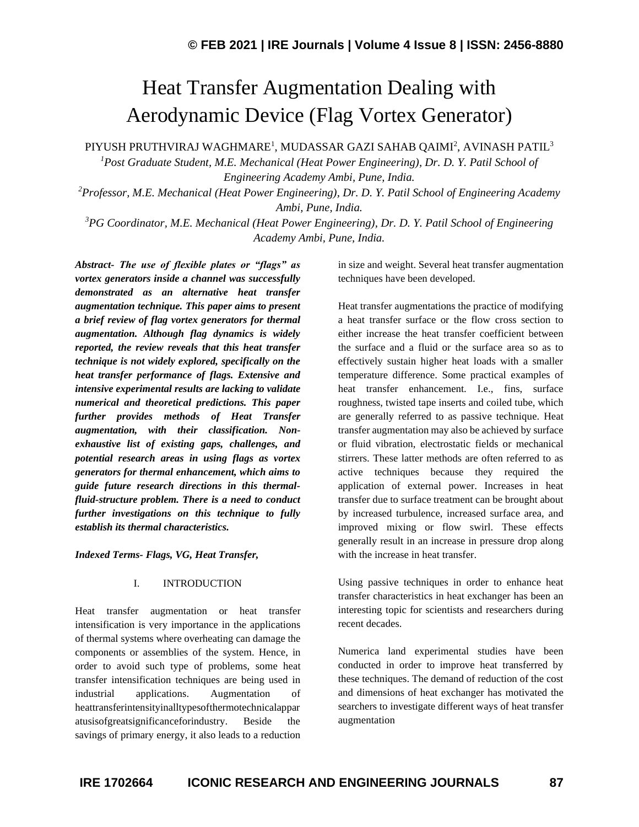# Heat Transfer Augmentation Dealing with Aerodynamic Device (Flag Vortex Generator)

PIYUSH PRUTHVIRAJ WAGHMARE<sup>1</sup>, MUDASSAR GAZI SAHAB QAIMI<sup>2</sup>, AVINASH PATIL $^3$ 

*<sup>1</sup>Post Graduate Student, M.E. Mechanical (Heat Power Engineering), Dr. D. Y. Patil School of Engineering Academy Ambi, Pune, India.*

*<sup>2</sup>Professor, M.E. Mechanical (Heat Power Engineering), Dr. D. Y. Patil School of Engineering Academy Ambi, Pune, India.*

*<sup>3</sup>PG Coordinator, M.E. Mechanical (Heat Power Engineering), Dr. D. Y. Patil School of Engineering Academy Ambi, Pune, India.*

*Abstract- The use of flexible plates or "flags" as vortex generators inside a channel was successfully demonstrated as an alternative heat transfer augmentation technique. This paper aims to present a brief review of flag vortex generators for thermal augmentation. Although flag dynamics is widely reported, the review reveals that this heat transfer technique is not widely explored, specifically on the heat transfer performance of flags. Extensive and intensive experimental results are lacking to validate numerical and theoretical predictions. This paper further provides methods of Heat Transfer augmentation, with their classification. Nonexhaustive list of existing gaps, challenges, and potential research areas in using flags as vortex generators for thermal enhancement, which aims to guide future research directions in this thermalfluid-structure problem. There is a need to conduct further investigations on this technique to fully establish its thermal characteristics.*

*Indexed Terms- Flags, VG, Heat Transfer,*

#### I. INTRODUCTION

Heat transfer augmentation or heat transfer intensification is very importance in the applications of thermal systems where overheating can damage the components or assemblies of the system. Hence, in order to avoid such type of problems, some heat transfer intensification techniques are being used in industrial applications. Augmentation of heattransferintensityinalltypesofthermotechnicalappar atusisofgreatsignificanceforindustry. Beside the savings of primary energy, it also leads to a reduction in size and weight. Several heat transfer augmentation techniques have been developed.

Heat transfer augmentations the practice of modifying a heat transfer surface or the flow cross section to either increase the heat transfer coefficient between the surface and a fluid or the surface area so as to effectively sustain higher heat loads with a smaller temperature difference. Some practical examples of heat transfer enhancement. I.e., fins, surface roughness, twisted tape inserts and coiled tube, which are generally referred to as passive technique. Heat transfer augmentation may also be achieved by surface or fluid vibration, electrostatic fields or mechanical stirrers. These latter methods are often referred to as active techniques because they required the application of external power. Increases in heat transfer due to surface treatment can be brought about by increased turbulence, increased surface area, and improved mixing or flow swirl. These effects generally result in an increase in pressure drop along with the increase in heat transfer.

Using passive techniques in order to enhance heat transfer characteristics in heat exchanger has been an interesting topic for scientists and researchers during recent decades.

Numerica land experimental studies have been conducted in order to improve heat transferred by these techniques. The demand of reduction of the cost and dimensions of heat exchanger has motivated the searchers to investigate different ways of heat transfer augmentation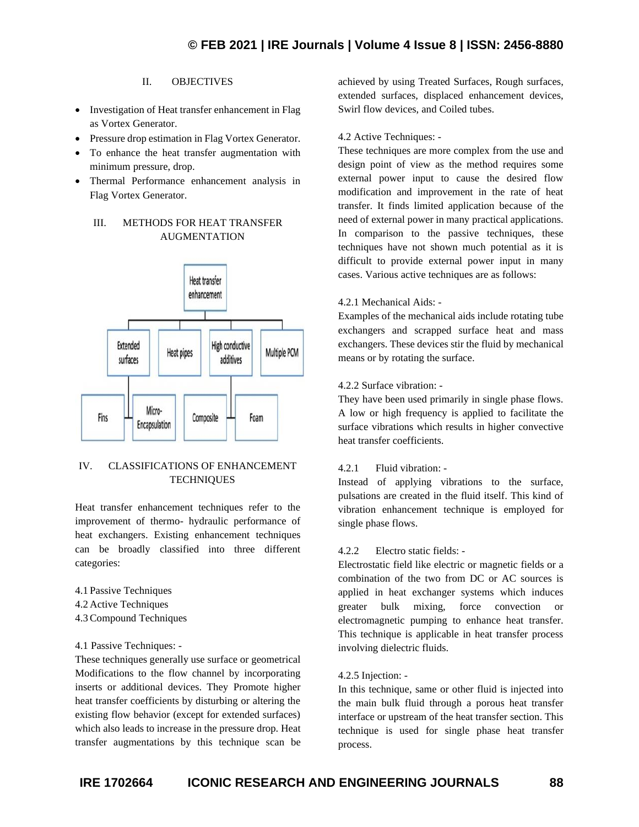## II. OBJECTIVES

- Investigation of Heat transfer enhancement in Flag as Vortex Generator.
- Pressure drop estimation in Flag Vortex Generator.
- To enhance the heat transfer augmentation with minimum pressure, drop.
- Thermal Performance enhancement analysis in Flag Vortex Generator.

# III. METHODS FOR HEAT TRANSFER AUGMENTATION



# IV. CLASSIFICATIONS OF ENHANCEMENT **TECHNIQUES**

Heat transfer enhancement techniques refer to the improvement of thermo- hydraulic performance of heat exchangers. Existing enhancement techniques can be broadly classified into three different categories:

- 4.1 Passive Techniques
- 4.2 Active Techniques
- 4.3Compound Techniques

#### 4.1 Passive Techniques: -

These techniques generally use surface or geometrical Modifications to the flow channel by incorporating inserts or additional devices. They Promote higher heat transfer coefficients by disturbing or altering the existing flow behavior (except for extended surfaces) which also leads to increase in the pressure drop. Heat transfer augmentations by this technique scan be achieved by using Treated Surfaces, Rough surfaces, extended surfaces, displaced enhancement devices, Swirl flow devices, and Coiled tubes.

#### 4.2 Active Techniques: -

These techniques are more complex from the use and design point of view as the method requires some external power input to cause the desired flow modification and improvement in the rate of heat transfer. It finds limited application because of the need of external power in many practical applications. In comparison to the passive techniques, these techniques have not shown much potential as it is difficult to provide external power input in many cases. Various active techniques are as follows:

#### 4.2.1 Mechanical Aids: -

Examples of the mechanical aids include rotating tube exchangers and scrapped surface heat and mass exchangers. These devices stir the fluid by mechanical means or by rotating the surface.

## 4.2.2 Surface vibration: -

They have been used primarily in single phase flows. A low or high frequency is applied to facilitate the surface vibrations which results in higher convective heat transfer coefficients.

#### 4.2.1 Fluid vibration: -

Instead of applying vibrations to the surface, pulsations are created in the fluid itself. This kind of vibration enhancement technique is employed for single phase flows.

#### 4.2.2 Electro static fields: -

Electrostatic field like electric or magnetic fields or a combination of the two from DC or AC sources is applied in heat exchanger systems which induces greater bulk mixing, force convection or electromagnetic pumping to enhance heat transfer. This technique is applicable in heat transfer process involving dielectric fluids.

#### 4.2.5 Injection: -

In this technique, same or other fluid is injected into the main bulk fluid through a porous heat transfer interface or upstream of the heat transfer section. This technique is used for single phase heat transfer process.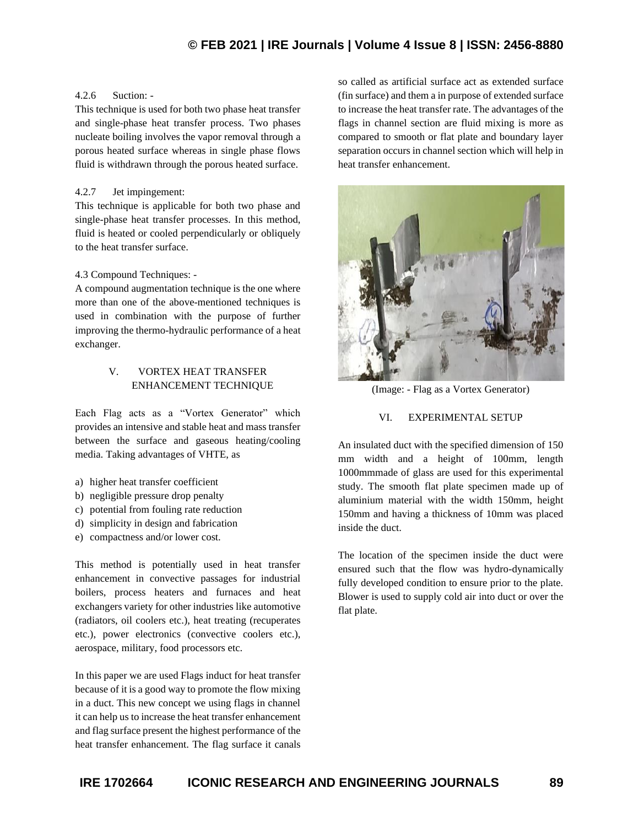# **© FEB 2021 | IRE Journals | Volume 4 Issue 8 | ISSN: 2456-8880**

#### 4.2.6 Suction: -

This technique is used for both two phase heat transfer and single-phase heat transfer process. Two phases nucleate boiling involves the vapor removal through a porous heated surface whereas in single phase flows fluid is withdrawn through the porous heated surface.

#### 4.2.7 Jet impingement:

This technique is applicable for both two phase and single-phase heat transfer processes. In this method, fluid is heated or cooled perpendicularly or obliquely to the heat transfer surface.

#### 4.3 Compound Techniques: -

A compound augmentation technique is the one where more than one of the above-mentioned techniques is used in combination with the purpose of further improving the thermo-hydraulic performance of a heat exchanger.

#### V. VORTEX HEAT TRANSFER ENHANCEMENT TECHNIQUE

Each Flag acts as a "Vortex Generator" which provides an intensive and stable heat and mass transfer between the surface and gaseous heating/cooling media. Taking advantages of VHTE, as

- a) higher heat transfer coefficient
- b) negligible pressure drop penalty
- c) potential from fouling rate reduction
- d) simplicity in design and fabrication
- e) compactness and/or lower cost.

This method is potentially used in heat transfer enhancement in convective passages for industrial boilers, process heaters and furnaces and heat exchangers variety for other industries like automotive (radiators, oil coolers etc.), heat treating (recuperates etc.), power electronics (convective coolers etc.), aerospace, military, food processors etc.

In this paper we are used Flags induct for heat transfer because of it is a good way to promote the flow mixing in a duct. This new concept we using flags in channel it can help us to increase the heat transfer enhancement and flag surface present the highest performance of the heat transfer enhancement. The flag surface it canals so called as artificial surface act as extended surface (fin surface) and them a in purpose of extended surface to increase the heat transfer rate. The advantages of the flags in channel section are fluid mixing is more as compared to smooth or flat plate and boundary layer separation occurs in channel section which will help in heat transfer enhancement.



(Image: - Flag as a Vortex Generator)

#### VI. EXPERIMENTAL SETUP

An insulated duct with the specified dimension of 150 mm width and a height of 100mm, length 1000mmmade of glass are used for this experimental study. The smooth flat plate specimen made up of aluminium material with the width 150mm, height 150mm and having a thickness of 10mm was placed inside the duct.

The location of the specimen inside the duct were ensured such that the flow was hydro-dynamically fully developed condition to ensure prior to the plate. Blower is used to supply cold air into duct or over the flat plate.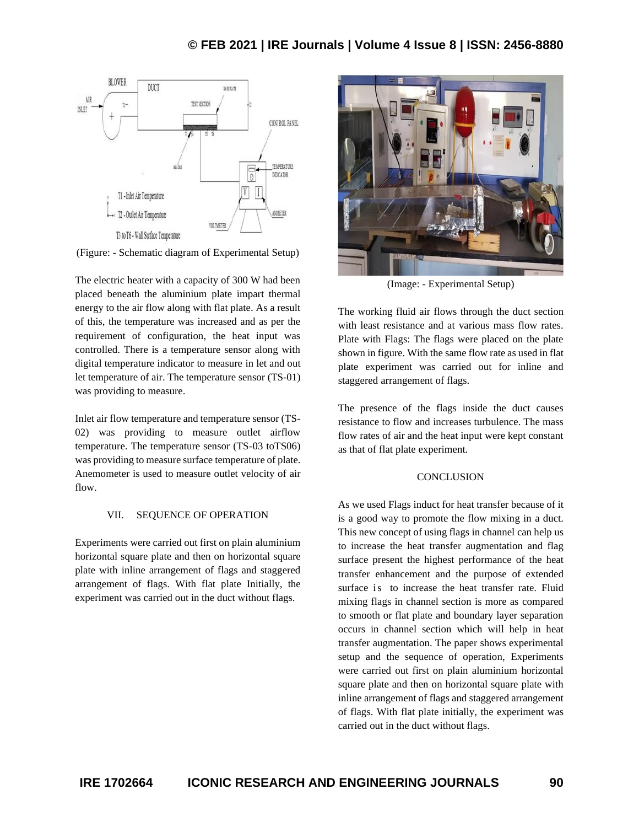

(Figure: - Schematic diagram of Experimental Setup)

The electric heater with a capacity of 300 W had been placed beneath the aluminium plate impart thermal energy to the air flow along with flat plate. As a result of this, the temperature was increased and as per the requirement of configuration, the heat input was controlled. There is a temperature sensor along with digital temperature indicator to measure in let and out let temperature of air. The temperature sensor (TS-01) was providing to measure.

Inlet air flow temperature and temperature sensor (TS-02) was providing to measure outlet airflow temperature. The temperature sensor (TS-03 toTS06) was providing to measure surface temperature of plate. Anemometer is used to measure outlet velocity of air flow.

#### VII. SEQUENCE OF OPERATION

Experiments were carried out first on plain aluminium horizontal square plate and then on horizontal square plate with inline arrangement of flags and staggered arrangement of flags. With flat plate Initially, the experiment was carried out in the duct without flags.



(Image: - Experimental Setup)

The working fluid air flows through the duct section with least resistance and at various mass flow rates. Plate with Flags: The flags were placed on the plate shown in figure. With the same flow rate as used in flat plate experiment was carried out for inline and staggered arrangement of flags.

The presence of the flags inside the duct causes resistance to flow and increases turbulence. The mass flow rates of air and the heat input were kept constant as that of flat plate experiment.

#### **CONCLUSION**

As we used Flags induct for heat transfer because of it is a good way to promote the flow mixing in a duct. This new concept of using flags in channel can help us to increase the heat transfer augmentation and flag surface present the highest performance of the heat transfer enhancement and the purpose of extended surface is to increase the heat transfer rate. Fluid mixing flags in channel section is more as compared to smooth or flat plate and boundary layer separation occurs in channel section which will help in heat transfer augmentation. The paper shows experimental setup and the sequence of operation, Experiments were carried out first on plain aluminium horizontal square plate and then on horizontal square plate with inline arrangement of flags and staggered arrangement of flags. With flat plate initially, the experiment was carried out in the duct without flags.